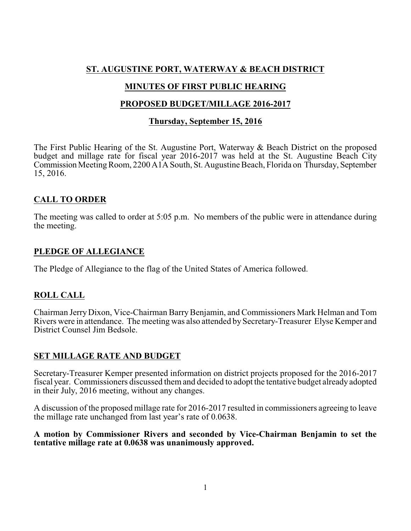# **ST. AUGUSTINE PORT, WATERWAY & BEACH DISTRICT**

# **MINUTES OF FIRST PUBLIC HEARING**

## **PROPOSED BUDGET/MILLAGE 2016-2017**

### **Thursday, September 15, 2016**

The First Public Hearing of the St. Augustine Port, Waterway & Beach District on the proposed budget and millage rate for fiscal year 2016-2017 was held at the St. Augustine Beach City Commission Meeting Room, 2200 A1A South, St. Augustine Beach, Florida on Thursday, September 15, 2016.

# **CALL TO ORDER**

The meeting was called to order at 5:05 p.m. No members of the public were in attendance during the meeting.

## **PLEDGE OF ALLEGIANCE**

The Pledge of Allegiance to the flag of the United States of America followed.

# **ROLL CALL**

Chairman Jerry Dixon, Vice-Chairman BarryBenjamin, and Commissioners Mark Helman and Tom Rivers were in attendance. The meeting was also attended by Secretary-Treasurer Elyse Kemper and District Counsel Jim Bedsole.

## **SET MILLAGE RATE AND BUDGET**

Secretary-Treasurer Kemper presented information on district projects proposed for the 2016-2017 fiscal year. Commissioners discussed them and decided to adopt the tentative budget already adopted in their July, 2016 meeting, without any changes.

A discussion of the proposed millage rate for 2016-2017 resulted in commissioners agreeing to leave the millage rate unchanged from last year's rate of 0.0638.

### **A motion by Commissioner Rivers and seconded by Vice-Chairman Benjamin to set the tentative millage rate at 0.0638 was unanimously approved.**